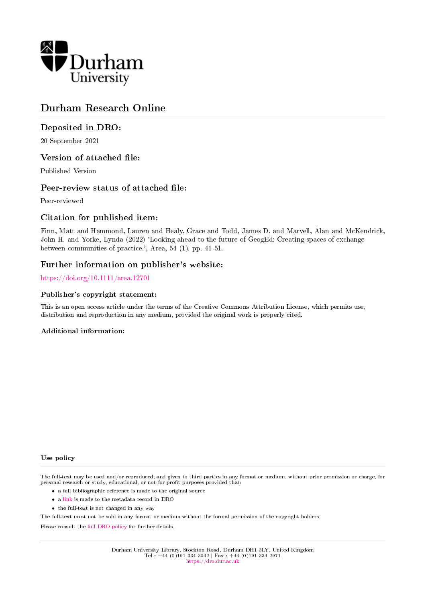

# Durham Research Online

# Deposited in DRO:

20 September 2021

# Version of attached file:

Published Version

# Peer-review status of attached file:

Peer-reviewed

# Citation for published item:

Finn, Matt and Hammond, Lauren and Healy, Grace and Todd, James D. and Marvell, Alan and McKendrick, John H. and Yorke, Lynda (2022) 'Looking ahead to the future of GeogEd: Creating spaces of exchange between communities of practice.', Area, 54 (1). pp. 41-51.

# Further information on publisher's website:

<https://doi.org/10.1111/area.12701>

## Publisher's copyright statement:

This is an open access article under the terms of the Creative Commons Attribution License, which permits use, distribution and reproduction in any medium, provided the original work is properly cited.

## Additional information:

#### Use policy

The full-text may be used and/or reproduced, and given to third parties in any format or medium, without prior permission or charge, for personal research or study, educational, or not-for-profit purposes provided that:

- a full bibliographic reference is made to the original source
- a [link](http://dro.dur.ac.uk/33878/) is made to the metadata record in DRO
- the full-text is not changed in any way

The full-text must not be sold in any format or medium without the formal permission of the copyright holders.

Please consult the [full DRO policy](https://dro.dur.ac.uk/policies/usepolicy.pdf) for further details.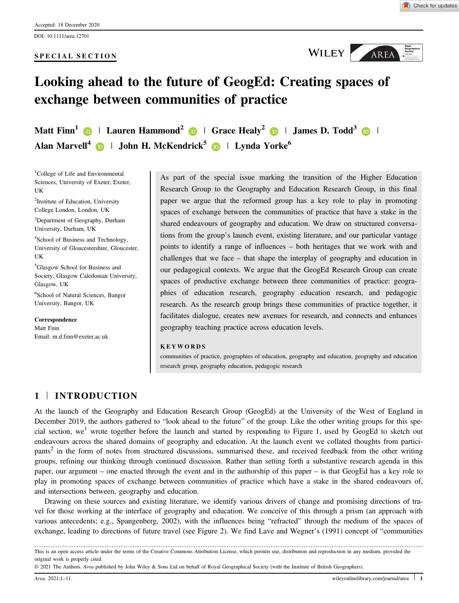#### SPECIAL SECTION



WILEY AREA

# Looking ahead to the future of GeogEd: Creating spaces of exchange between communities of practice

Matt Finn<sup>1</sup>  $\bigcirc$  | Lauren Hammond<sup>[2](https://orcid.org/0000-0003-1915-8767)</sup>  $\bigcirc$  | Grace Healy<sup>2</sup>  $\bigcirc$  | James D. Todd<sup>[3](https://orcid.org/0000-0002-7496-8634)</sup>  $\bigcirc$  | Alan Marvell<sup>4</sup>  $\bullet$  | John H. McKendrick<sup>[5](https://orcid.org/0000-0002-5683-7251)</sup>  $\bullet$  | Lynda Yorke<sup>6</sup>

<sup>1</sup>College of Life and Environmental Sciences, University of Exeter, Exeter, UK <sup>2</sup>Institute of Education, University College London, London, UK <sup>3</sup>Department of Geography, Durham University, Durham, UK 4 School of Business and Technology, University of Gloucestershire, Gloucester, UK 5 Glasgow School for Business and Society, Glasgow Caledonian University, Glasgow, UK 6 School of Natural Sciences, Bangor University, Bangor, UK

Correspondence Matt Finn Email: [m.d.finn@exeter.ac.uk](mailto:) As part of the special issue marking the transition of the Higher Education Research Group to the Geography and Education Research Group, in this final paper we argue that the reformed group has a key role to play in promoting spaces of exchange between the communities of practice that have a stake in the shared endeavours of geography and education. We draw on structured conversations from the group's launch event, existing literature, and our particular vantage points to identify a range of influences – both heritages that we work with and challenges that we face – that shape the interplay of geography and education in our pedagogical contexts. We argue that the GeogEd Research Group can create spaces of productive exchange between three communities of practice: geographies of education research, geography education research, and pedagogic research. As the research group brings these communities of practice together, it facilitates dialogue, creates new avenues for research, and connects and enhances geography teaching practice across education levels.

#### KEYWORDS

communities of practice, geographies of education, geography and education, geography and education research group, geography education, pedagogic research

## 1 | INTRODUCTION

At the launch of the Geography and Education Research Group (GeogEd) at the University of the West of England in December 2019, the authors gathered to "look ahead to the future" of the group. Like the other writing groups for this special section, we<sup>1</sup> wrote together before the launch and started by responding to Figure 1, used by GeogEd to sketch out endeavours across the shared domains of geography and education. At the launch event we collated thoughts from participants<sup>2</sup> in the form of notes from structured discussions, summarised these, and received feedback from the other writing groups, refining our thinking through continued discussion. Rather than setting forth a substantive research agenda in this paper, our argument – one enacted through the event and in the authorship of this paper – is that GeogEd has a key role to play in promoting spaces of exchange between communities of practice which have a stake in the shared endeavours of, and intersections between, geography and education.

Drawing on these sources and existing literature, we identify various drivers of change and promising directions of travel for those working at the interface of geography and education. We conceive of this through a prism (an approach with various antecedents; e.g., Spangenberg, 2002), with the influences being "refracted" through the medium of the spaces of exchange, leading to directions of future travel (see Figure 2). We find Lave and Wegner's (1991) concept of "communities

This is an open access article under the terms of the [Creative Commons Attribution](http://creativecommons.org/licenses/by/4.0/) License, which permits use, distribution and reproduction in any medium, provided the original work is properly cited.

© 2021 The Authors. Area published by John Wiley & Sons Ltd on behalf of Royal Geographical Society (with the Institute of British Geographers).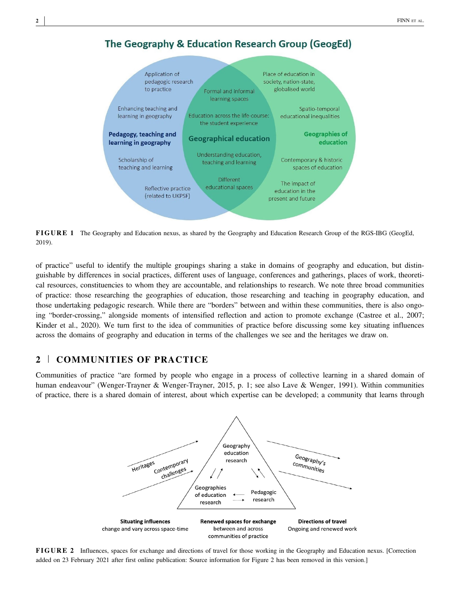



FIGURE 1 The Geography and Education nexus, as shared by the Geography and Education Research Group of the RGS-IBG (GeogEd, 2019).

of practice" useful to identify the multiple groupings sharing a stake in domains of geography and education, but distinguishable by differences in social practices, different uses of language, conferences and gatherings, places of work, theoretical resources, constituencies to whom they are accountable, and relationships to research. We note three broad communities of practice: those researching the geographies of education, those researching and teaching in geography education, and those undertaking pedagogic research. While there are "borders" between and within these communities, there is also ongoing "border-crossing," alongside moments of intensified reflection and action to promote exchange (Castree et al., 2007; Kinder et al., 2020). We turn first to the idea of communities of practice before discussing some key situating influences across the domains of geography and education in terms of the challenges we see and the heritages we draw on.

## 2 | COMMUNITIES OF PRACTICE

Communities of practice "are formed by people who engage in a process of collective learning in a shared domain of human endeavour" (Wenger-Trayner & Wenger-Trayner, 2015, p. 1; see also Lave & Wenger, 1991). Within communities of practice, there is a shared domain of interest, about which expertise can be developed; a community that learns through



FIGURE 2 Influences, spaces for exchange and directions of travel for those working in the Geography and Education nexus. [Correction added on 23 February 2021 after first online publication: Source information for Figure 2 has been removed in this version.]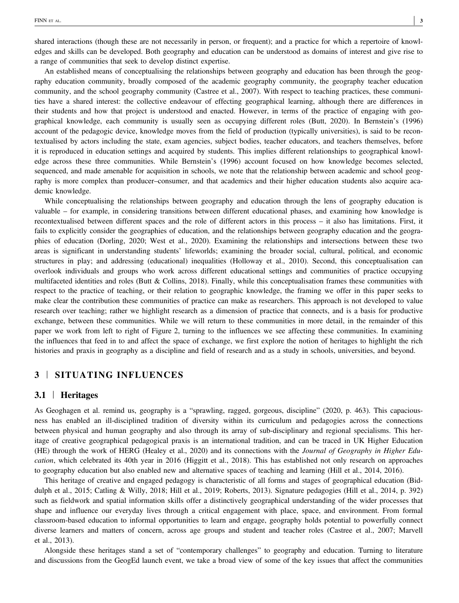shared interactions (though these are not necessarily in person, or frequent); and a practice for which a repertoire of knowledges and skills can be developed. Both geography and education can be understood as domains of interest and give rise to a range of communities that seek to develop distinct expertise.

An established means of conceptualising the relationships between geography and education has been through the geography education community, broadly composed of the academic geography community, the geography teacher education community, and the school geography community (Castree et al., 2007). With respect to teaching practices, these communities have a shared interest: the collective endeavour of effecting geographical learning, although there are differences in their students and how that project is understood and enacted. However, in terms of the practice of engaging with geographical knowledge, each community is usually seen as occupying different roles (Butt, 2020). In Bernstein's (1996) account of the pedagogic device, knowledge moves from the field of production (typically universities), is said to be recontextualised by actors including the state, exam agencies, subject bodies, teacher educators, and teachers themselves, before it is reproduced in education settings and acquired by students. This implies different relationships to geographical knowledge across these three communities. While Bernstein's (1996) account focused on how knowledge becomes selected, sequenced, and made amenable for acquisition in schools, we note that the relationship between academic and school geography is more complex than producer–consumer, and that academics and their higher education students also acquire academic knowledge.

While conceptualising the relationships between geography and education through the lens of geography education is valuable – for example, in considering transitions between different educational phases, and examining how knowledge is recontextualised between different spaces and the role of different actors in this process – it also has limitations. First, it fails to explicitly consider the geographies of education, and the relationships between geography education and the geographies of education (Dorling, 2020; West et al., 2020). Examining the relationships and intersections between these two areas is significant in understanding students' lifeworlds; examining the broader social, cultural, political, and economic structures in play; and addressing (educational) inequalities (Holloway et al., 2010). Second, this conceptualisation can overlook individuals and groups who work across different educational settings and communities of practice occupying multifaceted identities and roles (Butt & Collins, 2018). Finally, while this conceptualisation frames these communities with respect to the practice of teaching, or their relation to geographic knowledge, the framing we offer in this paper seeks to make clear the contribution these communities of practice can make as researchers. This approach is not developed to value research over teaching; rather we highlight research as a dimension of practice that connects, and is a basis for productive exchange, between these communities. While we will return to these communities in more detail, in the remainder of this paper we work from left to right of Figure 2, turning to the influences we see affecting these communities. In examining the influences that feed in to and affect the space of exchange, we first explore the notion of heritages to highlight the rich histories and praxis in geography as a discipline and field of research and as a study in schools, universities, and beyond.

# 3 | SITUATING INFLUENCES

## 3.1 | Heritages

As Geoghagen et al. remind us, geography is a "sprawling, ragged, gorgeous, discipline" (2020, p. 463). This capaciousness has enabled an ill‐disciplined tradition of diversity within its curriculum and pedagogies across the connections between physical and human geography and also through its array of sub‐disciplinary and regional specialisms. This heritage of creative geographical pedagogical praxis is an international tradition, and can be traced in UK Higher Education (HE) through the work of HERG (Healey et al., 2020) and its connections with the Journal of Geography in Higher Education, which celebrated its 40th year in 2016 (Higgitt et al., 2018). This has established not only research on approaches to geography education but also enabled new and alternative spaces of teaching and learning (Hill et al., 2014, 2016).

This heritage of creative and engaged pedagogy is characteristic of all forms and stages of geographical education (Biddulph et al., 2015; Catling & Willy, 2018; Hill et al., 2019; Roberts, 2013). Signature pedagogies (Hill et al., 2014, p. 392) such as fieldwork and spatial information skills offer a distinctively geographical understanding of the wider processes that shape and influence our everyday lives through a critical engagement with place, space, and environment. From formal classroom‐based education to informal opportunities to learn and engage, geography holds potential to powerfully connect diverse learners and matters of concern, across age groups and student and teacher roles (Castree et al., 2007; Marvell et al., 2013).

Alongside these heritages stand a set of "contemporary challenges" to geography and education. Turning to literature and discussions from the GeogEd launch event, we take a broad view of some of the key issues that affect the communities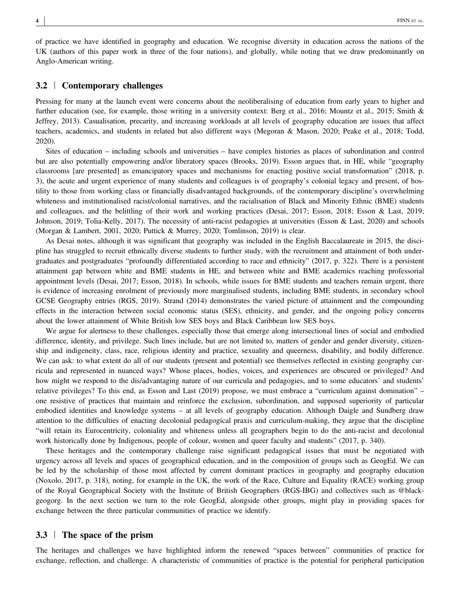of practice we have identified in geography and education. We recognise diversity in education across the nations of the UK (authors of this paper work in three of the four nations), and globally, while noting that we draw predominantly on Anglo‐American writing.

## 3.2 | Contemporary challenges

Pressing for many at the launch event were concerns about the neoliberalising of education from early years to higher and further education (see, for example, those writing in a university context: Berg et al., 2016; Mountz et al., 2015; Smith & Jeffrey, 2013). Casualisation, precarity, and increasing workloads at all levels of geography education are issues that affect teachers, academics, and students in related but also different ways (Megoran & Mason, 2020; Peake et al., 2018; Todd, 2020).

Sites of education – including schools and universities – have complex histories as places of subordination and control but are also potentially empowering and/or liberatory spaces (Brooks, 2019). Esson argues that, in HE, while "geography classrooms [are presented] as emancipatory spaces and mechanisms for enacting positive social transformation" (2018, p. 3), the acute and urgent experience of many students and colleagues is of geography's colonial legacy and present, of hostility to those from working class or financially disadvantaged backgrounds, of the contemporary discipline's overwhelming whiteness and institutionalised racist/colonial narratives, and the racialisation of Black and Minority Ethnic (BME) students and colleagues, and the belittling of their work and working practices (Desai, 2017; Esson, 2018; Esson & Last, 2019; Johnson, 2019; Tolia-Kelly, 2017). The necessity of anti-racist pedagogies at universities (Esson & Last, 2020) and schools (Morgan & Lambert, 2001, 2020; Puttick & Murrey, 2020; Tomlinson, 2019) is clear.

As Desai notes, although it was significant that geography was included in the English Baccalaureate in 2015, the discipline has struggled to recruit ethnically diverse students to further study, with the recruitment and attainment of both undergraduates and postgraduates "profoundly differentiated according to race and ethnicity" (2017, p. 322). There is a persistent attainment gap between white and BME students in HE, and between white and BME academics reaching professorial appointment levels (Desai, 2017; Esson, 2018). In schools, while issues for BME students and teachers remain urgent, there is evidence of increasing enrolment of previously more marginalised students, including BME students, in secondary school GCSE Geography entries (RGS, 2019). Strand (2014) demonstrates the varied picture of attainment and the compounding effects in the interaction between social economic status (SES), ethnicity, and gender, and the ongoing policy concerns about the lower attainment of White British low SES boys and Black Caribbean low SES boys.

We argue for alertness to these challenges, especially those that emerge along intersectional lines of social and embodied difference, identity, and privilege. Such lines include, but are not limited to, matters of gender and gender diversity, citizenship and indigeneity, class, race, religious identity and practice, sexuality and queerness, disability, and bodily difference. We can ask: to what extent do all of our students (present and potential) see themselves reflected in existing geography curricula and represented in nuanced ways? Whose places, bodies, voices, and experiences are obscured or privileged? And how might we respond to the dis/advantaging nature of our curricula and pedagogies, and to some educators' and students' relative privileges? To this end, as Esson and Last (2019) propose, we must embrace a "curriculum against domination" – one resistive of practices that maintain and reinforce the exclusion, subordination, and supposed superiority of particular embodied identities and knowledge systems – at all levels of geography education. Although Daigle and Sundberg draw attention to the difficulties of enacting decolonial pedagogical praxis and curriculum‐making, they argue that the discipline "will retain its Eurocentricity, coloniality and whiteness unless all geographers begin to do the anti‐racist and decolonial work historically done by Indigenous, people of colour, women and queer faculty and students" (2017, p. 340).

These heritages and the contemporary challenge raise significant pedagogical issues that must be negotiated with urgency across all levels and spaces of geographical education, and in the composition of groups such as GeogEd. We can be led by the scholarship of those most affected by current dominant practices in geography and geography education (Noxolo, 2017, p. 318), noting, for example in the UK, the work of the Race, Culture and Equality (RACE) working group of the Royal Geographical Society with the Institute of British Geographers (RGS‐IBG) and collectives such as @blackgeogorg. In the next section we turn to the role GeogEd, alongside other groups, might play in providing spaces for exchange between the three particular communities of practice we identify.

#### 3.3 | The space of the prism

The heritages and challenges we have highlighted inform the renewed "spaces between" communities of practice for exchange, reflection, and challenge. A characteristic of communities of practice is the potential for peripheral participation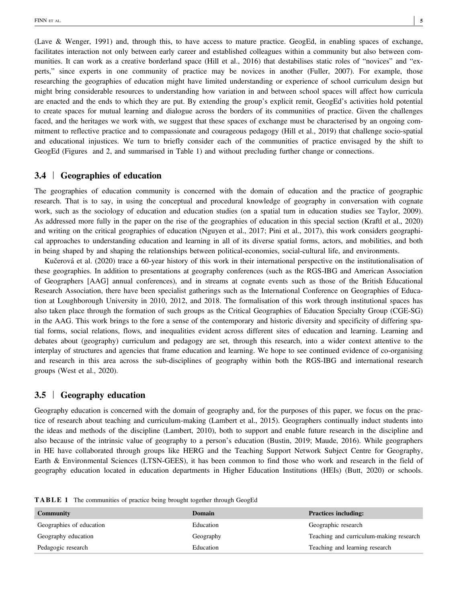(Lave & Wenger, 1991) and, through this, to have access to mature practice. GeogEd, in enabling spaces of exchange, facilitates interaction not only between early career and established colleagues within a community but also between communities. It can work as a creative borderland space (Hill et al., 2016) that destabilises static roles of "novices" and "experts," since experts in one community of practice may be novices in another (Fuller, 2007). For example, those researching the geographies of education might have limited understanding or experience of school curriculum design but might bring considerable resources to understanding how variation in and between school spaces will affect how curricula are enacted and the ends to which they are put. By extending the group's explicit remit, GeogEd's activities hold potential to create spaces for mutual learning and dialogue across the borders of its communities of practice. Given the challenges faced, and the heritages we work with, we suggest that these spaces of exchange must be characterised by an ongoing commitment to reflective practice and to compassionate and courageous pedagogy (Hill et al., 2019) that challenge socio-spatial and educational injustices. We turn to briefly consider each of the communities of practice envisaged by the shift to GeogEd (Figures and 2, and summarised in Table 1) and without precluding further change or connections.

## 3.4 | Geographies of education

The geographies of education community is concerned with the domain of education and the practice of geographic research. That is to say, in using the conceptual and procedural knowledge of geography in conversation with cognate work, such as the sociology of education and education studies (on a spatial turn in education studies see Taylor, 2009). As addressed more fully in the paper on the rise of the geographies of education in this special section (Kraftl et al., 2020) and writing on the critical geographies of education (Nguyen et al., 2017; Pini et al., 2017), this work considers geographical approaches to understanding education and learning in all of its diverse spatial forms, actors, and mobilities, and both in being shaped by and shaping the relationships between political‐economies, social‐cultural life, and environments.

Kučerová et al. (2020) trace a 60‐year history of this work in their international perspective on the institutionalisation of these geographies. In addition to presentations at geography conferences (such as the RGS‐IBG and American Association of Geographers [AAG] annual conferences), and in streams at cognate events such as those of the British Educational Research Association, there have been specialist gatherings such as the International Conference on Geographies of Education at Loughborough University in 2010, 2012, and 2018. The formalisation of this work through institutional spaces has also taken place through the formation of such groups as the Critical Geographies of Education Specialty Group (CGE‐SG) in the AAG. This work brings to the fore a sense of the contemporary and historic diversity and specificity of differing spatial forms, social relations, flows, and inequalities evident across different sites of education and learning. Learning and debates about (geography) curriculum and pedagogy are set, through this research, into a wider context attentive to the interplay of structures and agencies that frame education and learning. We hope to see continued evidence of co-organising and research in this area across the sub‐disciplines of geography within both the RGS‐IBG and international research groups (West et al., 2020).

#### 3.5 | Geography education

Geography education is concerned with the domain of geography and, for the purposes of this paper, we focus on the practice of research about teaching and curriculum‐making (Lambert et al., 2015). Geographers continually induct students into the ideas and methods of the discipline (Lambert, 2010), both to support and enable future research in the discipline and also because of the intrinsic value of geography to a person's education (Bustin, 2019; Maude, 2016). While geographers in HE have collaborated through groups like HERG and the Teaching Support Network Subject Centre for Geography, Earth & Environmental Sciences (LTSN-GEES), it has been common to find those who work and research in the field of geography education located in education departments in Higher Education Institutions (HEIs) (Butt, 2020) or schools.

TABLE 1 The communities of practice being brought together through GeogEd

| <b>Community</b>         | <b>Domain</b> | <b>Practices including:</b>             |
|--------------------------|---------------|-----------------------------------------|
| Geographies of education | Education     | Geographic research                     |
| Geography education      | Geography     | Teaching and curriculum-making research |
| Pedagogic research       | Education     | Teaching and learning research          |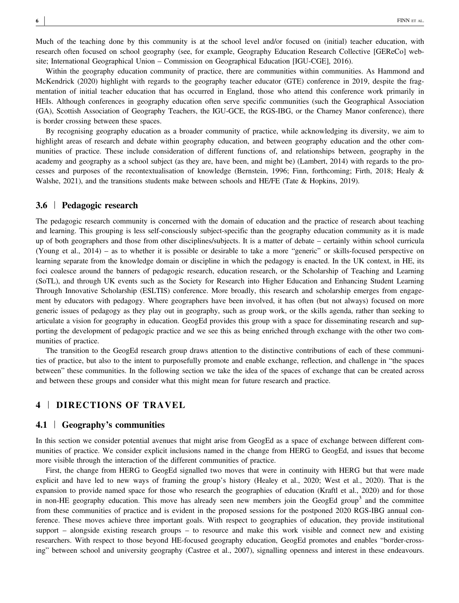Much of the teaching done by this community is at the school level and/or focused on (initial) teacher education, with research often focused on school geography (see, for example, Geography Education Research Collective [GEReCo] website; International Geographical Union – Commission on Geographical Education [IGU‐CGE], 2016).

Within the geography education community of practice, there are communities within communities. As Hammond and McKendrick (2020) highlight with regards to the geography teacher educator (GTE) conference in 2019, despite the fragmentation of initial teacher education that has occurred in England, those who attend this conference work primarily in HEIs. Although conferences in geography education often serve specific communities (such the Geographical Association (GA), Scottish Association of Geography Teachers, the IGU‐GCE, the RGS‐IBG, or the Charney Manor conference), there is border crossing between these spaces.

By recognising geography education as a broader community of practice, while acknowledging its diversity, we aim to highlight areas of research and debate within geography education, and between geography education and the other communities of practice. These include consideration of different functions of, and relationships between, geography in the academy and geography as a school subject (as they are, have been, and might be) (Lambert, 2014) with regards to the processes and purposes of the recontextualisation of knowledge (Bernstein, 1996; Finn, forthcoming; Firth, 2018; Healy & Walshe, 2021), and the transitions students make between schools and HE/FE (Tate & Hopkins, 2019).

#### 3.6 | Pedagogic research

The pedagogic research community is concerned with the domain of education and the practice of research about teaching and learning. This grouping is less self-consciously subject-specific than the geography education community as it is made up of both geographers and those from other disciplines/subjects. It is a matter of debate – certainly within school curricula (Young et al., 2014) – as to whether it is possible or desirable to take a more "generic" or skills‐focused perspective on learning separate from the knowledge domain or discipline in which the pedagogy is enacted. In the UK context, in HE, its foci coalesce around the banners of pedagogic research, education research, or the Scholarship of Teaching and Learning (SoTL), and through UK events such as the Society for Research into Higher Education and Enhancing Student Learning Through Innovative Scholarship (ESLTIS) conference. More broadly, this research and scholarship emerges from engagement by educators with pedagogy. Where geographers have been involved, it has often (but not always) focused on more generic issues of pedagogy as they play out in geography, such as group work, or the skills agenda, rather than seeking to articulate a vision for geography in education. GeogEd provides this group with a space for disseminating research and supporting the development of pedagogic practice and we see this as being enriched through exchange with the other two communities of practice.

The transition to the GeogEd research group draws attention to the distinctive contributions of each of these communities of practice, but also to the intent to purposefully promote and enable exchange, reflection, and challenge in "the spaces between" these communities. In the following section we take the idea of the spaces of exchange that can be created across and between these groups and consider what this might mean for future research and practice.

## 4 | DIRECTIONS OF TRAVEL

#### 4.1 <sup>|</sup> Geography's communities

In this section we consider potential avenues that might arise from GeogEd as a space of exchange between different communities of practice. We consider explicit inclusions named in the change from HERG to GeogEd, and issues that become more visible through the interaction of the different communities of practice.

First, the change from HERG to GeogEd signalled two moves that were in continuity with HERG but that were made explicit and have led to new ways of framing the group's history (Healey et al., 2020; West et al., 2020). That is the expansion to provide named space for those who research the geographies of education (Kraftl et al., 2020) and for those in non–HE geography education. This move has already seen new members join the GeogEd group<sup>3</sup> and the committee from these communities of practice and is evident in the proposed sessions for the postponed 2020 RGS-IBG annual conference. These moves achieve three important goals. With respect to geographies of education, they provide institutional support – alongside existing research groups – to resource and make this work visible and connect new and existing researchers. With respect to those beyond HE‐focused geography education, GeogEd promotes and enables "border‐crossing" between school and university geography (Castree et al., 2007), signalling openness and interest in these endeavours.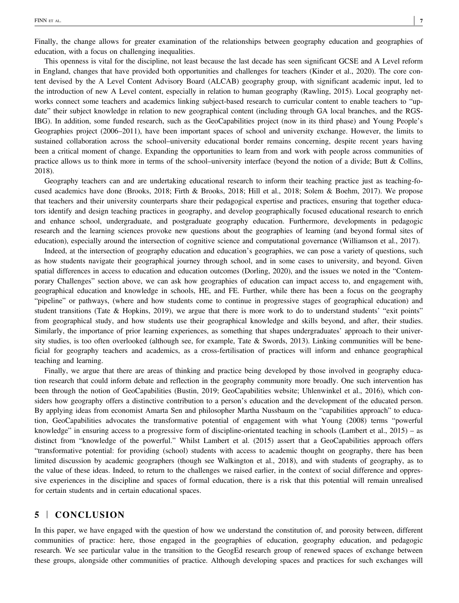This openness is vital for the discipline, not least because the last decade has seen significant GCSE and A Level reform in England, changes that have provided both opportunities and challenges for teachers (Kinder et al., 2020). The core content devised by the A Level Content Advisory Board (ALCAB) geography group, with significant academic input, led to the introduction of new A Level content, especially in relation to human geography (Rawling, 2015). Local geography networks connect some teachers and academics linking subject-based research to curricular content to enable teachers to "update" their subject knowledge in relation to new geographical content (including through GA local branches, and the RGS-IBG). In addition, some funded research, such as the GeoCapabilities project (now in its third phase) and Young People's Geographies project (2006–2011), have been important spaces of school and university exchange. However, the limits to sustained collaboration across the school–university educational border remains concerning, despite recent years having been a critical moment of change. Expanding the opportunities to learn from and work with people across communities of practice allows us to think more in terms of the school–university interface (beyond the notion of a divide; Butt & Collins, 2018).

Geography teachers can and are undertaking educational research to inform their teaching practice just as teaching-focused academics have done (Brooks, 2018; Firth & Brooks, 2018; Hill et al., 2018; Solem & Boehm, 2017). We propose that teachers and their university counterparts share their pedagogical expertise and practices, ensuring that together educators identify and design teaching practices in geography, and develop geographically focused educational research to enrich and enhance school, undergraduate, and postgraduate geography education. Furthermore, developments in pedagogic research and the learning sciences provoke new questions about the geographies of learning (and beyond formal sites of education), especially around the intersection of cognitive science and computational governance (Williamson et al., 2017).

Indeed, at the intersection of geography education and education's geographies, we can pose a variety of questions, such as how students navigate their geographical journey through school, and in some cases to university, and beyond. Given spatial differences in access to education and education outcomes (Dorling, 2020), and the issues we noted in the "Contemporary Challenges" section above, we can ask how geographies of education can impact access to, and engagement with, geographical education and knowledge in schools, HE, and FE. Further, while there has been a focus on the geography "pipeline" or pathways, (where and how students come to continue in progressive stages of geographical education) and student transitions (Tate & Hopkins, 2019), we argue that there is more work to do to understand students' "exit points" from geographical study, and how students use their geographical knowledge and skills beyond, and after, their studies. Similarly, the importance of prior learning experiences, as something that shapes undergraduates' approach to their university studies, is too often overlooked (although see, for example, Tate  $\&$  Swords, 2013). Linking communities will be beneficial for geography teachers and academics, as a cross-fertilisation of practices will inform and enhance geographical teaching and learning.

Finally, we argue that there are areas of thinking and practice being developed by those involved in geography education research that could inform debate and reflection in the geography community more broadly. One such intervention has been through the notion of GeoCapabilities (Bustin, 2019; GeoCapabilities website; Uhlenwinkel et al., 2016), which considers how geography offers a distinctive contribution to a person's education and the development of the educated person. By applying ideas from economist Amarta Sen and philosopher Martha Nussbaum on the "capabilities approach" to education, GeoCapabilities advocates the transformative potential of engagement with what Young (2008) terms "powerful knowledge" in ensuring access to a progressive form of discipline-orientated teaching in schools (Lambert et al., 2015) – as distinct from "knowledge of the powerful." Whilst Lambert et al. (2015) assert that a GeoCapabilities approach offers "transformative potential: for providing (school) students with access to academic thought on geography, there has been limited discussion by academic geographers (though see Walkington et al., 2018), and with students of geography, as to the value of these ideas. Indeed, to return to the challenges we raised earlier, in the context of social difference and oppressive experiences in the discipline and spaces of formal education, there is a risk that this potential will remain unrealised for certain students and in certain educational spaces.

## 5 | CONCLUSION

In this paper, we have engaged with the question of how we understand the constitution of, and porosity between, different communities of practice: here, those engaged in the geographies of education, geography education, and pedagogic research. We see particular value in the transition to the GeogEd research group of renewed spaces of exchange between these groups, alongside other communities of practice. Although developing spaces and practices for such exchanges will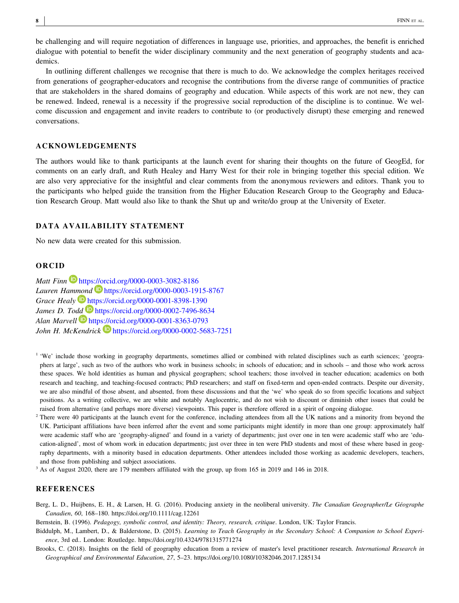be challenging and will require negotiation of differences in language use, priorities, and approaches, the benefit is enriched dialogue with potential to benefit the wider disciplinary community and the next generation of geography students and academics.

In outlining different challenges we recognise that there is much to do. We acknowledge the complex heritages received from generations of geographer‐educators and recognise the contributions from the diverse range of communities of practice that are stakeholders in the shared domains of geography and education. While aspects of this work are not new, they can be renewed. Indeed, renewal is a necessity if the progressive social reproduction of the discipline is to continue. We welcome discussion and engagement and invite readers to contribute to (or productively disrupt) these emerging and renewed conversations.

#### ACKNOWLEDGEMENTS

The authors would like to thank participants at the launch event for sharing their thoughts on the future of GeogEd, for comments on an early draft, and Ruth Healey and Harry West for their role in bringing together this special edition. We are also very appreciative for the insightful and clear comments from the anonymous reviewers and editors. Thank you to the participants who helped guide the transition from the Higher Education Research Group to the Geography and Education Research Group. Matt would also like to thank the Shut up and write/do group at the University of Exeter.

#### DATA AVAILABILITY STATEMENT

No new data were created for this submission.

#### ORCID

Matt Finn https://orcid.org/0000-0003-3082-8186 Lauren Hammond  $\blacksquare$  https://orcid.org/0000-0003-1915-8767 Grace Healy https://orcid.org/0000-0001-8398-1390 James D. Todd **D** https://orcid.org/0000-0002-7496-8634 Alan Marvell Dhttps://orcid.org/0000-0001-8363-0793 John H. McKendrick  $\blacksquare$  https://orcid.org/0000-0002-5683-7251

- <sup>1</sup> 'We' include those working in geography departments, sometimes allied or combined with related disciplines such as earth sciences; 'geographers at large', such as two of the authors who work in business schools; in schools of education; and in schools – and those who work across these spaces. We hold identities as human and physical geographers; school teachers; those involved in teacher education; academics on both research and teaching, and teaching-focused contracts; PhD researchers; and staff on fixed-term and open-ended contracts. Despite our diversity, we are also mindful of those absent, and absented, from these discussions and that the 'we' who speak do so from specific locations and subject positions. As a writing collective, we are white and notably Anglocentric, and do not wish to discount or diminish other issues that could be raised from alternative (and perhaps more diverse) viewpoints. This paper is therefore offered in a spirit of ongoing dialogue.
- <sup>2</sup> There were 40 participants at the launch event for the conference, including attendees from all the UK nations and a minority from beyond the UK. Participant affiliations have been inferred after the event and some participants might identify in more than one group: approximately half were academic staff who are 'geography-aligned' and found in a variety of departments; just over one in ten were academic staff who are 'education-aligned', most of whom work in education departments; just over three in ten were PhD students and most of these where based in geography departments, with a minority based in education departments. Other attendees included those working as academic developers, teachers, and those from publishing and subject associations.
- <sup>3</sup> As of August 2020, there are 179 members affiliated with the group, up from 165 in 2019 and 146 in 2018.

#### REFERENCES

Berg, L. D., Huijbens, E. H., & Larsen, H. G. (2016). Producing anxiety in the neoliberal university. The Canadian Geographer/Le Géographe Canadien, 60, 168–180.<https://doi.org/10.1111/cag.12261>

Bernstein, B. (1996). Pedagogy, symbolic control, and identity: Theory, research, critique. London, UK: Taylor Francis.

- Biddulph, M., Lambert, D., & Balderstone, D. (2015). Learning to Teach Geography in the Secondary School: A Companion to School Experience, 3rd ed.. London: Routledge.<https://doi.org/10.4324/9781315771274>
- Brooks, C. (2018). Insights on the field of geography education from a review of master's level practitioner research. International Research in Geographical and Environmental Education, 27, 5–23.<https://doi.org/10.1080/10382046.2017.1285134>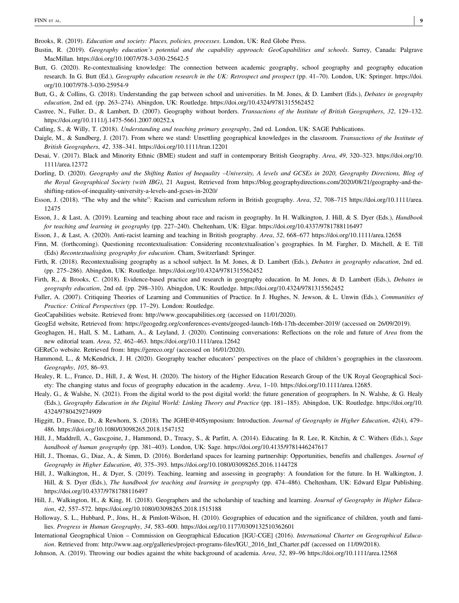Brooks, R. (2019). Education and society: Places, policies, processes. London, UK: Red Globe Press.

- Bustin, R. (2019). Geography education's potential and the capability approach: GeoCapabilities and schools. Surrey, Canada: Palgrave MacMillan. [https://doi.org/10.1007/978](https://doi.org/10.1007/978-3-030-25642-5)‐3‐030‐25642‐5
- Butt, G. (2020). Re-contextualising knowledge: The connection between academic geography, school geography and geography education research. In G. Butt (Ed.), Geography education research in the UK: Retrospect and prospect (pp. 41-70). London, UK: Springer. [https://doi.](https://doi.org/10.1007/978-3-030-25954-9) [org/10.1007/978](https://doi.org/10.1007/978-3-030-25954-9)‐3‐030‐25954‐9
- Butt, G., & Collins, G. (2018). Understanding the gap between school and universities. In M. Jones, & D. Lambert (Eds.), Debates in geography education, 2nd ed. (pp. 263–274). Abingdon, UK: Routledge.<https://doi.org/10.4324/9781315562452>
- Castree, N., Fuller, D., & Lambert, D. (2007). Geography without borders. Transactions of the Institute of British Geographers, 32, 129–132. [https://doi.org/10.1111/j.1475](https://doi.org/10.1111/j.1475-5661.2007.00252.x)‐5661.2007.00252.x
- Catling, S., & Willy, T. (2018). Understanding and teaching primary geography, 2nd ed. London, UK: SAGE Publications.
- Daigle, M., & Sundberg, J. (2017). From where we stand: Unsettling geographical knowledges in the classroom. Transactions of the Institute of British Geographers, 42, 338–341.<https://doi.org/10.1111/tran.12201>
- Desai, V. (2017). Black and Minority Ethnic (BME) student and staff in contemporary British Geography. Area, 49, 320–323. [https://doi.org/10.](https://doi.org/10.1111/area.12372) [1111/area.12372](https://doi.org/10.1111/area.12372)
- Dorling, D. (2020). Geography and the Shifting Ratios of Inequality –University, A levels and GCSEs in 2020, Geography Directions, Blog of the Royal Geographical Society (with IBG), 21 August, Retrieved from [https://blog.geographydirections.com/2020/08/21/geography](https://blog.geographydirections.com/2020/08/21/geography-and-the-shifting-ratios-of-inequality-university-a-levels-and-gcses-in-2020/)-and-theshifting‐ratios‐of‐[inequality](https://blog.geographydirections.com/2020/08/21/geography-and-the-shifting-ratios-of-inequality-university-a-levels-and-gcses-in-2020/)‐university‐a‐levels‐and‐gcses‐in‐2020/
- Esson, J. (2018). "The why and the white": Racism and curriculum reform in British geography. Area, 52, 708–715 [https://doi.org/10.1111/area.](https://doi.org/10.1111/area.12475) [12475](https://doi.org/10.1111/area.12475)
- Esson, J., & Last, A. (2019). Learning and teaching about race and racism in geography. In H. Walkington, J. Hill, & S. Dyer (Eds.), *Handbook* for teaching and learning in geography (pp. 227–240). Cheltenham, UK: Elgar.<https://doi.org/10.4337/9781788116497>
- Esson, J., & Last, A. (2020). Anti-racist learning and teaching in British geography. Area, 52, 668–677<https://doi.org/10.1111/area.12658>
- Finn, M. (forthcoming). Questioning recontextualisation: Considering recontextualisation's geographies. In M. Fargher, D. Mitchell, & E. Till (Eds) Recontextualising geography for education. Cham, Switzerland: Springer.
- Firth, R. (2018). Recontextualising geography as a school subject. In M. Jones, & D. Lambert (Eds.), Debates in geography education, 2nd ed. (pp. 275–286). Abingdon, UK: Routledge.<https://doi.org/10.4324/9781315562452>
- Firth, R., & Brooks, C. (2018). Evidence-based practice and research in geography education. In M. Jones, & D. Lambert (Eds.), *Debates in* geography education, 2nd ed. (pp. 298–310). Abingdon, UK: Routledge.<https://doi.org/10.4324/9781315562452>
- Fuller, A. (2007). Critiquing Theories of Learning and Communities of Practice. In J. Hughes, N. Jewson, & L. Unwin (Eds.), Communities of Practice: Critical Perspectives (pp. 17–29). London: Routledge.
- GeoCapabilities website. Retrieved from:<http://www.geocapabilities.org> (accessed on 11/01/2020).
- GeogEd website, Retrieved from: [https://geogedrg.org/conferences](https://geogedrg.org/conferences-events/geoged-launch-16th-17th-december-2019/)‐events/geoged‐launch‐16th‐17th‐december‐2019/ (accessed on 26/09/2019).
- Geoghagen, H., Hall, S. M., Latham, A., & Leyland, J. (2020). Continuing conversations: Reflections on the role and future of Area from the new editorial team. Area, 52, 462–463.<https://doi.org/10.1111/area.12642>
- GEReCo website. Retrieved from:<https://gereco.org/> (accessed on 16/01/2020).
- Hammond, L., & McKendrick, J. H. (2020). Geography teacher educators' perspectives on the place of children's geographies in the classroom. Geography, 105, 86–93.
- Healey, R. L., France, D., Hill, J., & West, H. (2020). The history of the Higher Education Research Group of the UK Royal Geographical Society: The changing status and focus of geography education in the academy. Area, 1–10. [https://doi.org/10.1111/area.12685.](https://doi.org/10.1111/area.12685)
- Healy, G., & Walshe, N. (2021). From the digital world to the post digital world: the future generation of geographers. In N. Walshe, & G. Healy (Eds.), Geography Education in the Digital World: Linking Theory and Practice (pp. 181–185). Abingdon, UK: Routledge. [https://doi.org/10.](https://doi.org/10.4324/9780429274909) [4324/9780429274909](https://doi.org/10.4324/9780429274909)
- Higgitt, D., France, D., & Rewhorn, S. (2018). The JGHE@40Symposium: Introduction. Journal of Geography in Higher Education, 42(4), 479– 486.<https://doi.org/10.1080/03098265.2018.1547152>
- Hill, J., Maddrell, A., Gascgoine, J., Hammond, D., Treacy, S., & Parfitt, A. (2014). Educating. In R. Lee, R. Kitchin, & C. Withers (Eds.), Sage handbook of human geography (pp. 381-403). London, UK: Sage.<https://doi.org/10.4135/9781446247617>
- Hill, J., Thomas, G., Diaz, A., & Simm, D. (2016). Borderland spaces for learning partnership: Opportunities, benefits and challenges. Journal of Geography in Higher Education, 40, 375–393.<https://doi.org/10.1080/03098265.2016.1144728>
- Hill, J., Walkington, H., & Dyer, S. (2019). Teaching, learning and assessing in geography: A foundation for the future. In H. Walkington, J. Hill, & S. Dyer (Eds.), The handbook for teaching and learning in geography (pp. 474–486). Cheltenham, UK: Edward Elgar Publishing. <https://doi.org/10.4337/9781788116497>
- Hill, J., Walkington, H., & King, H. (2018). Geographers and the scholarship of teaching and learning. Journal of Geography in Higher Education, 42, 557–572.<https://doi.org/10.1080/03098265.2018.1515188>
- Holloway, S. L., Hubbard, P., Jöns, H., & Pimlott‐Wilson, H. (2010). Geographies of education and the significance of children, youth and families. Progress in Human Geography, 34, 583–600.<https://doi.org/10.1177/0309132510362601>
- International Geographical Union Commission on Geographical Education [IGU-CGE] (2016). International Charter on Geographical Education. Retrieved from: [http://www.aag.org/galleries/project](http://www.aag.org/galleries/project-programs-files/IGU_2016_Intl_Charter.pdf)-programs-files/IGU\_2016\_Intl\_Charter.pdf (accessed on 11/09/2018).
- Johnson, A. (2019). Throwing our bodies against the white background of academia. Area, 52, 89–96<https://doi.org/10.1111/area.12568>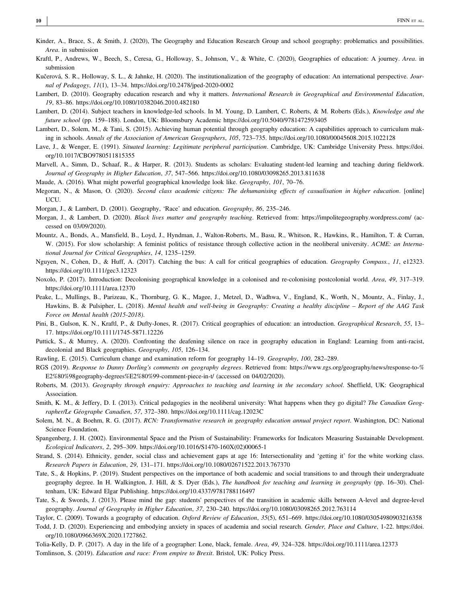- Kinder, A., Brace, S., & Smith, J. (2020), The Geography and Education Research Group and school geography: problematics and possibilities. Area. in submission
- Kraftl, P., Andrews, W., Beech, S., Ceresa, G., Holloway, S., Johnson, V., & White, C. (2020), Geographies of education: A journey. Area. in submission
- Kučerová, S. R., Holloway, S. L., & Jahnke, H. (2020). The institutionalization of the geography of education: An international perspective. Journal of Pedagogy, 11(1), 13–34. [https://doi.org/10.2478/jped](https://doi.org/10.2478/jped-2020-0002)‐2020‐0002
- Lambert, D. (2010). Geography education research and why it matters. International Research in Geographical and Environmental Education, 19, 83–86.<https://doi.org/10.1080/10382046.2010.482180>
- Lambert, D. (2014). Subject teachers in knowledge-led schools. In M. Young, D. Lambert, C. Roberts, & M. Roberts (Eds.), Knowledge and the future school (pp. 159–188). London, UK: Bloomsbury Academic<https://doi.org/10.5040/9781472593405>
- Lambert, D., Solem, M., & Tani, S. (2015). Achieving human potential through geography education: A capabilities approach to curriculum making in schools. Annals of the Association of American Geographers, 105, 723–735.<https://doi.org/10.1080/00045608.2015.1022128>
- Lave, J., & Wenger, E. (1991). Situated learning: Legitimate peripheral participation. Cambridge, UK: Cambridge University Press. [https://doi.](https://doi.org/10.1017/CBO9780511815355) [org/10.1017/CBO9780511815355](https://doi.org/10.1017/CBO9780511815355)
- Marvell, A., Simm, D., Schaaf, R., & Harper, R. (2013). Students as scholars: Evaluating student‐led learning and teaching during fieldwork. Journal of Geography in Higher Education, 37, 547–566.<https://doi.org/10.1080/03098265.2013.811638>
- Maude, A. (2016). What might powerful geographical knowledge look like. Geography, 101, 70–76.
- Megoran, N., & Mason, O. (2020). Second class academic citizens: The dehumanising effects of casualisation in higher education. [online] UCU.
- Morgan, J., & Lambert, D. (2001). Geography, 'Race' and education. Geography, 86, 235–246.
- Morgan, J., & Lambert, D. (2020). Black lives matter and geography teaching. Retrieved from:<https://impolitegeography.wordpress.com/> (accessed on 03/09/2020).
- Mountz, A., Bonds, A., Mansfield, B., Loyd, J., Hyndman, J., Walton‐Roberts, M., Basu, R., Whitson, R., Hawkins, R., Hamilton, T. & Curran, W. (2015). For slow scholarship: A feminist politics of resistance through collective action in the neoliberal university. ACME: an International Journal for Critical Geographies, 14, 1235–1259.
- Nguyen, N., Cohen, D., & Huff, A. (2017). Catching the bus: A call for critical geographies of education. Geography Compass., 11, e12323. <https://doi.org/10.1111/gec3.12323>
- Noxolo, P. (2017). Introduction: Decolonising geographical knowledge in a colonised and re-colonising postcolonial world. Area, 49, 317–319. <https://doi.org/10.1111/area.12370>
- Peake, L., Mullings, B., Parizeau, K., Thornburg, G. K., Magee, J., Metzel, D., Wadhwa, V., England, K., Worth, N., Mountz, A., Finlay, J., Hawkins, B. & Pulsipher, L. (2018). Mental health and well-being in Geography: Creating a healthy discipline – Report of the AAG Task Force on Mental health (2015‐2018).
- Pini, B., Gulson, K. N., Kraftl, P., & Dufty-Jones, R. (2017). Critical geographies of education: an introduction. Geographical Research, 55, 13– 17. [https://doi.org/10.1111/1745](https://doi.org/10.1111/1745-5871.12226)‐5871.12226
- Puttick, S., & Murrey, A. (2020). Confronting the deafening silence on race in geography education in England: Learning from anti-racist, decolonial and Black geographies. Geography, 105, 126–134.
- Rawling, E. (2015). Curriculum change and examination reform for geography 14–19. Geography, 100, 282–289.
- RGS (2019). Response to Danny Dorling's comments on geography degrees. Retrieved from: [https://www.rgs.org/geography/news/response](https://www.rgs.org/geography/news/response-to-%25E2%2580%2598geography-degrees%25E2%2580%2599-comment-piece-in-t/)-to-% [E2%80%98geography](https://www.rgs.org/geography/news/response-to-%25E2%2580%2598geography-degrees%25E2%2580%2599-comment-piece-in-t/)‐degrees%E2%80%99‐comment‐piece‐in‐t/ (accessed on 04/02/2020).
- Roberts, M. (2013). Geography through enquiry: Approaches to teaching and learning in the secondary school. Sheffield, UK: Geographical Association.
- Smith, K. M., & Jeffery, D. I. (2013). Critical pedagogies in the neoliberal university: What happens when they go digital? The Canadian Geographer/Le Géographe Canadien, 57, 372–380.<https://doi.org/10.1111/cag.12023C>
- Solem, M. N., & Boehm, R. G. (2017). RCN: Transformative research in geography education annual project report. Washington, DC: National Science Foundation.
- Spangenberg, J. H. (2002). Environmental Space and the Prism of Sustainability: Frameworks for Indicators Measuring Sustainable Development. Ecological Indicators, 2, 295–309. [https://doi.org/10.1016/S1470](https://doi.org/10.1016/S1470-160X(02)00065-1)‐160X(02)00065‐1
- Strand, S. (2014). Ethnicity, gender, social class and achievement gaps at age 16: Intersectionality and 'getting it' for the white working class. Research Papers in Education, 29, 131–171.<https://doi.org/10.1080/02671522.2013.767370>
- Tate, S., & Hopkins, P. (2019). Student perspectives on the importance of both academic and social transitions to and through their undergraduate geography degree. In H. Walkington, J. Hill, & S. Dyer (Eds.), The handbook for teaching and learning in geography (pp. 16–30). Cheltenham, UK: Edward Elgar Publishing.<https://doi.org/10.4337/9781788116497>
- Tate, S., & Swords, J. (2013). Please mind the gap: students' perspectives of the transition in academic skills between A‐level and degree‐level geography. Journal of Geography in Higher Education, 37, 230–240.<https://doi.org/10.1080/03098265.2012.763114>

Taylor, C. (2009). Towards a geography of education. Oxford Review of Education, 35(5), 651–669.<https://doi.org/10.1080/03054980903216358>

Todd, J. D. (2020). Experiencing and embodying anxiety in spaces of academia and social research. Gender, Place and Culture, 1‐22. [https://doi.](https://doi.org/10.1080/0966369X.2020.1727862) [org/10.1080/0966369X.2020.1727862.](https://doi.org/10.1080/0966369X.2020.1727862)

Tolia‐Kelly, D. P. (2017). A day in the life of a geographer: Lone, black, female. Area, 49, 324–328.<https://doi.org/10.1111/area.12373> Tomlinson, S. (2019). Education and race: From empire to Brexit. Bristol, UK: Policy Press.